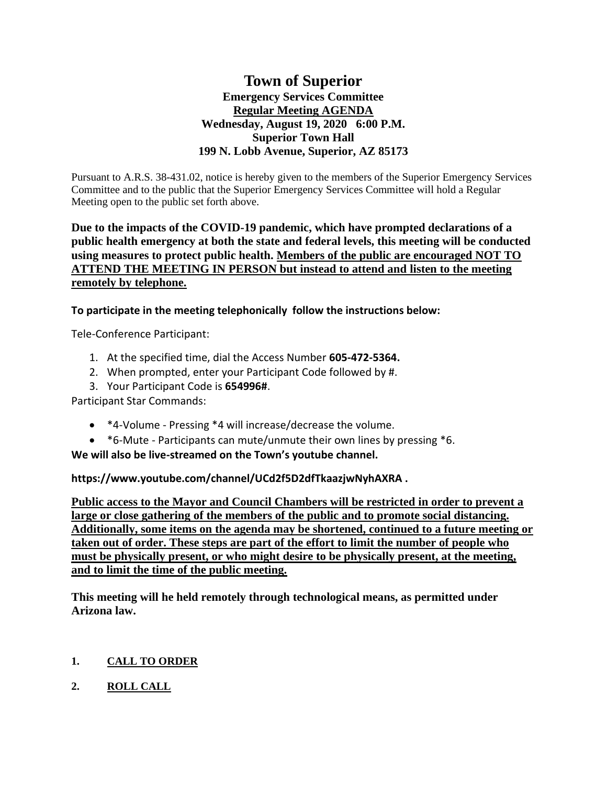# **Town of Superior Emergency Services Committee Regular Meeting AGENDA Wednesday, August 19, 2020 6:00 P.M. Superior Town Hall 199 N. Lobb Avenue, Superior, AZ 85173**

Pursuant to A.R.S. 38-431.02, notice is hereby given to the members of the Superior Emergency Services Committee and to the public that the Superior Emergency Services Committee will hold a Regular Meeting open to the public set forth above.

## **Due to the impacts of the COVID-19 pandemic, which have prompted declarations of a public health emergency at both the state and federal levels, this meeting will be conducted using measures to protect public health. Members of the public are encouraged NOT TO ATTEND THE MEETING IN PERSON but instead to attend and listen to the meeting remotely by telephone.**

**To participate in the meeting telephonically follow the instructions below:**

Tele-Conference Participant:

- 1. At the specified time, dial the Access Number **605-472-5364.**
- 2. When prompted, enter your Participant Code followed by #.
- 3. Your Participant Code is **654996#**.

Participant Star Commands:

- \*4-Volume Pressing \*4 will increase/decrease the volume.
- \*6-Mute Participants can mute/unmute their own lines by pressing \*6.

**We will also be live-streamed on the Town's youtube channel.** 

**https://www.youtube.com/channel/UCd2f5D2dfTkaazjwNyhAXRA .** 

**Public access to the Mayor and Council Chambers will be restricted in order to prevent a large or close gathering of the members of the public and to promote social distancing. Additionally, some items on the agenda may be shortened, continued to a future meeting or taken out of order. These steps are part of the effort to limit the number of people who must be physically present, or who might desire to be physically present, at the meeting, and to limit the time of the public meeting.**

**This meeting will he held remotely through technological means, as permitted under Arizona law.**

## **1. CALL TO ORDER**

**2. ROLL CALL**